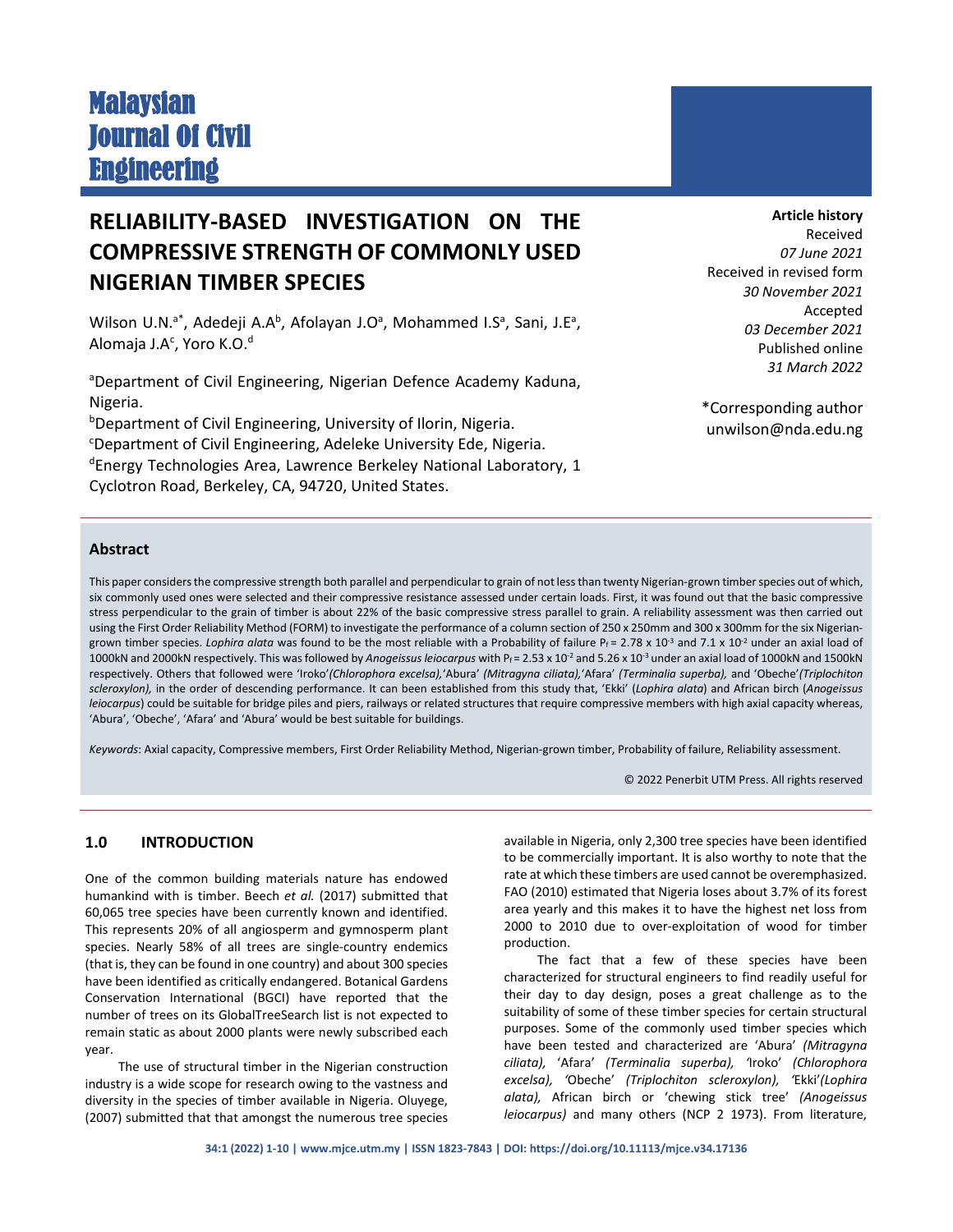# Malaysian Journal Of Civil **Engineering**

## **RELIABILITY-BASED INVESTIGATION ON THE COMPRESSIVE STRENGTH OF COMMONLY USED NIGERIAN TIMBER SPECIES**

Wilson U.N.<sup>a\*</sup>, Adedeji A.A<sup>b</sup>, Afolayan J.O<sup>a</sup>, Mohammed I.S<sup>a</sup>, Sani, J.E<sup>a</sup>, Alomaja J.A<sup>c</sup>, Yoro K.O.<sup>d</sup>

<sup>a</sup>Department of Civil Engineering, Nigerian Defence Academy Kaduna, Nigeria.

b Department of Civil Engineering, University of Ilorin, Nigeria. c Department of Civil Engineering, Adeleke University Ede, Nigeria. <sup>d</sup>Energy Technologies Area, Lawrence Berkeley National Laboratory, 1 Cyclotron Road, Berkeley, CA, 94720, United States.

**Article history**

Received *07 June 2021* Received in revised form *30 November 2021* Accepted *03 December 2021* Published online *31 March 2022*

\*Corresponding author unwilson@nda.edu.ng

### **Abstract**

This paper considers the compressive strength both parallel and perpendicular to grain of not less than twenty Nigerian-grown timber species out of which, six commonly used ones were selected and their compressive resistance assessed under certain loads. First, it was found out that the basic compressive stress perpendicular to the grain of timber is about 22% of the basic compressive stress parallel to grain. A reliability assessment was then carried out using the First Order Reliability Method (FORM) to investigate the performance of a column section of 250 x 250mm and 300 x 300mm for the six Nigeriangrown timber species. *Lophira alata* was found to be the most reliable with a Probability of failure P<sub>f</sub> = 2.78 x 10<sup>-3</sup> and 7.1 x 10<sup>-2</sup> under an axial load of 1000kN and 2000kN respectively. This was followed by Anogeissus leiocarpus with Pf = 2.53 x 10<sup>-2</sup> and 5.26 x 10<sup>-3</sup> under an axial load of 1000kN and 1500kN respectively. Others that followed were 'Iroko'*(Chlorophora excelsa),*'Abura' *(Mitragyna ciliata),*'Afara' *(Terminalia superba),* and 'Obeche'*(Triplochiton scleroxylon),* in the order of descending performance. It can been established from this study that, 'Ekki' (*Lophira alata*) and African birch (*Anogeissus leiocarpus*) could be suitable for bridge piles and piers, railways or related structures that require compressive members with high axial capacity whereas, 'Abura', 'Obeche', 'Afara' and 'Abura' would be best suitable for buildings.

*Keywords*: Axial capacity, Compressive members, First Order Reliability Method, Nigerian-grown timber, Probability of failure, Reliability assessment.

© 2022 Penerbit UTM Press. All rights reserved

#### **1.0 INTRODUCTION**

One of the common building materials nature has endowed humankind with is timber. Beech *et al.* (2017) submitted that 60,065 tree species have been currently known and identified. This represents 20% of all angiosperm and gymnosperm plant species. Nearly 58% of all trees are single-country endemics (that is, they can be found in one country) and about 300 species have been identified as critically endangered. Botanical Gardens Conservation International (BGCI) have reported that the number of trees on its GlobalTreeSearch list is not expected to remain static as about 2000 plants were newly subscribed each year.

The use of structural timber in the Nigerian construction industry is a wide scope for research owing to the vastness and diversity in the species of timber available in Nigeria. Oluyege, (2007) submitted that that amongst the numerous tree species

available in Nigeria, only 2,300 tree species have been identified to be commercially important. It is also worthy to note that the rate at which these timbers are used cannot be overemphasized. FAO (2010) estimated that Nigeria loses about 3.7% of its forest area yearly and this makes it to have the highest net loss from 2000 to 2010 due to over-exploitation of wood for timber production.

The fact that a few of these species have been characterized for structural engineers to find readily useful for their day to day design, poses a great challenge as to the suitability of some of these timber species for certain structural purposes. Some of the commonly used timber species which have been tested and characterized are 'Abura' *(Mitragyna ciliata),* 'Afara' *(Terminalia superba), '*Iroko' *(Chlorophora excelsa), '*Obeche' *(Triplochiton scleroxylon), '*Ekki'*(Lophira alata),* African birch or 'chewing stick tree' *(Anogeissus leiocarpus)* and many others (NCP 2 1973). From literature,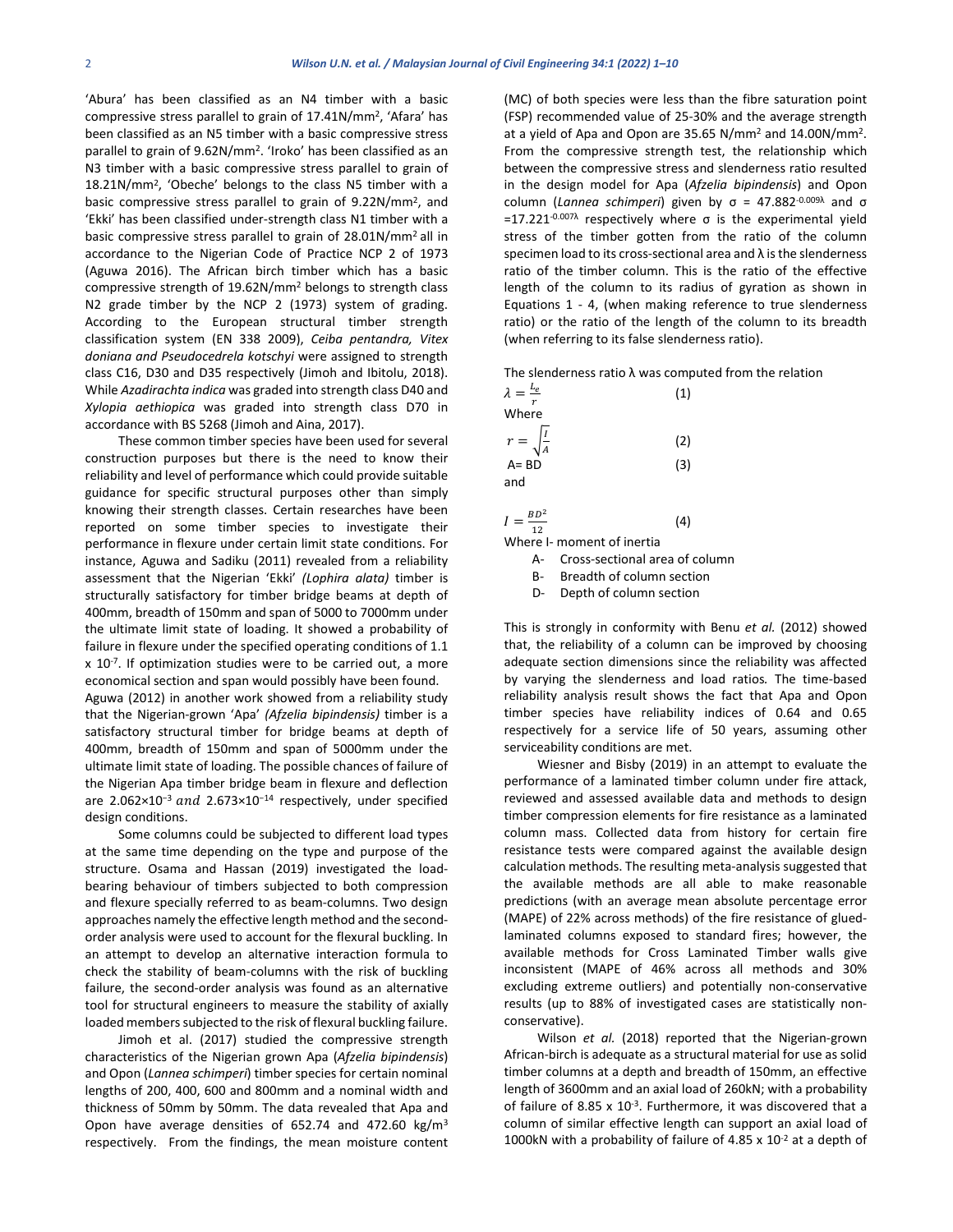'Abura' has been classified as an N4 timber with a basic compressive stress parallel to grain of 17.41N/mm2, 'Afara' has been classified as an N5 timber with a basic compressive stress parallel to grain of 9.62N/mm2. 'Iroko' has been classified as an N3 timber with a basic compressive stress parallel to grain of 18.21N/mm2, 'Obeche' belongs to the class N5 timber with a basic compressive stress parallel to grain of 9.22N/mm2, and 'Ekki' has been classified under-strength class N1 timber with a basic compressive stress parallel to grain of 28.01N/mm2 all in accordance to the Nigerian Code of Practice NCP 2 of 1973 (Aguwa 2016). The African birch timber which has a basic compressive strength of 19.62N/mm2 belongs to strength class N2 grade timber by the NCP 2 (1973) system of grading. According to the European structural timber strength classification system (EN 338 2009), *Ceiba pentandra, Vitex doniana and Pseudocedrela kotschyi* were assigned to strength class C16, D30 and D35 respectively (Jimoh and Ibitolu, 2018). While *Azadirachta indica* was graded into strength class D40 and *Xylopia aethiopica* was graded into strength class D70 in accordance with BS 5268 (Jimoh and Aina, 2017).

These common timber species have been used for several construction purposes but there is the need to know their reliability and level of performance which could provide suitable guidance for specific structural purposes other than simply knowing their strength classes. Certain researches have been reported on some timber species to investigate their performance in flexure under certain limit state conditions. For instance, Aguwa and Sadiku (2011) revealed from a reliability assessment that the Nigerian 'Ekki' *(Lophira alata)* timber is structurally satisfactory for timber bridge beams at depth of 400mm, breadth of 150mm and span of 5000 to 7000mm under the ultimate limit state of loading. It showed a probability of failure in flexure under the specified operating conditions of 1.1 x 10<sup>-7</sup>. If optimization studies were to be carried out, a more economical section and span would possibly have been found.

Aguwa (2012) in another work showed from a reliability study that the Nigerian-grown 'Apa' *(Afzelia bipindensis)* timber is a satisfactory structural timber for bridge beams at depth of 400mm, breadth of 150mm and span of 5000mm under the ultimate limit state of loading. The possible chances of failure of the Nigerian Apa timber bridge beam in flexure and deflection are 2.062×10<sup>-3</sup> and 2.673×10<sup>-14</sup> respectively, under specified design conditions.

Some columns could be subjected to different load types at the same time depending on the type and purpose of the structure. Osama and Hassan (2019) investigated the loadbearing behaviour of timbers subjected to both compression and flexure specially referred to as beam-columns. Two design approaches namely the effective length method and the secondorder analysis were used to account for the flexural buckling. In an attempt to develop an alternative interaction formula to check the stability of beam-columns with the risk of buckling failure, the second-order analysis was found as an alternative tool for structural engineers to measure the stability of axially loaded members subjected to the risk of flexural buckling failure.

Jimoh et al. (2017) studied the compressive strength characteristics of the Nigerian grown Apa (*Afzelia bipindensis*) and Opon (*Lannea schimperi*) timber species for certain nominal lengths of 200, 400, 600 and 800mm and a nominal width and thickness of 50mm by 50mm. The data revealed that Apa and Opon have average densities of 652.74 and 472.60 kg/m3 respectively. From the findings, the mean moisture content (MC) of both species were less than the fibre saturation point (FSP) recommended value of 25-30% and the average strength at a yield of Apa and Opon are 35.65 N/mm2 and 14.00N/mm2. From the compressive strength test, the relationship which between the compressive stress and slenderness ratio resulted in the design model for Apa (*Afzelia bipindensis*) and Opon column (*Lannea schimperi*) given by σ = 47.882-0.009λ and σ  $=$  17.221<sup>-0.007λ</sup> respectively where σ is the experimental yield stress of the timber gotten from the ratio of the column specimen load to its cross-sectional area and  $\lambda$  is the slenderness ratio of the timber column. This is the ratio of the effective length of the column to its radius of gyration as shown in Equations 1 - 4, (when making reference to true slenderness ratio) or the ratio of the length of the column to its breadth (when referring to its false slenderness ratio).

The slenderness ratio  $\lambda$  was computed from the relation

| $\lambda = \frac{L_e}{L}$ | (1) |
|---------------------------|-----|
| Where                     |     |
| $r = \sqrt{\frac{I}{A}}$  | (2) |
| $A = BD$                  | (3) |
| and                       |     |

 $I = \frac{BD^2}{12}$  $\frac{3D}{12}$  (4)

Where I- moment of inertia

A- Cross-sectional area of column

B- Breadth of column section

D- Depth of column section

This is strongly in conformity with Benu *et al.* (2012) showed that, the reliability of a column can be improved by choosing adequate section dimensions since the reliability was affected by varying the slenderness and load ratios*.* The time-based reliability analysis result shows the fact that Apa and Opon timber species have reliability indices of 0.64 and 0.65 respectively for a service life of 50 years, assuming other serviceability conditions are met.

Wiesner and Bisby (2019) in an attempt to evaluate the performance of a laminated timber column under fire attack, reviewed and assessed available data and methods to design timber compression elements for fire resistance as a laminated column mass. Collected data from history for certain [fire](https://www.sciencedirect.com/topics/engineering/fire-resistance-test)  [resistance tests](https://www.sciencedirect.com/topics/engineering/fire-resistance-test) were compared against the available design calculation methods. The resulting meta-analysis suggested that the available methods are all able to make reasonable predictions (with an average [mean absolute percentage error](https://www.sciencedirect.com/topics/engineering/mean-absolute-error) (MAPE) of 22% across methods) of the fire resistance of gluedlaminated columns exposed to standard fires; however, the available methods for Cross Laminated Timber walls give inconsistent (MAPE of 46% across all methods and 30% excluding extreme outliers) and potentially non-conservative results (up to 88% of investigated cases are statistically nonconservative).

Wilson *et al.* (2018) reported that the Nigerian-grown African-birch is adequate as a structural material for use as solid timber columns at a depth and breadth of 150mm, an effective length of 3600mm and an axial load of 260kN; with a probability of failure of 8.85  $\times$  10<sup>-3</sup>. Furthermore, it was discovered that a column of similar effective length can support an axial load of 1000kN with a probability of failure of 4.85  $\times$  10<sup>-2</sup> at a depth of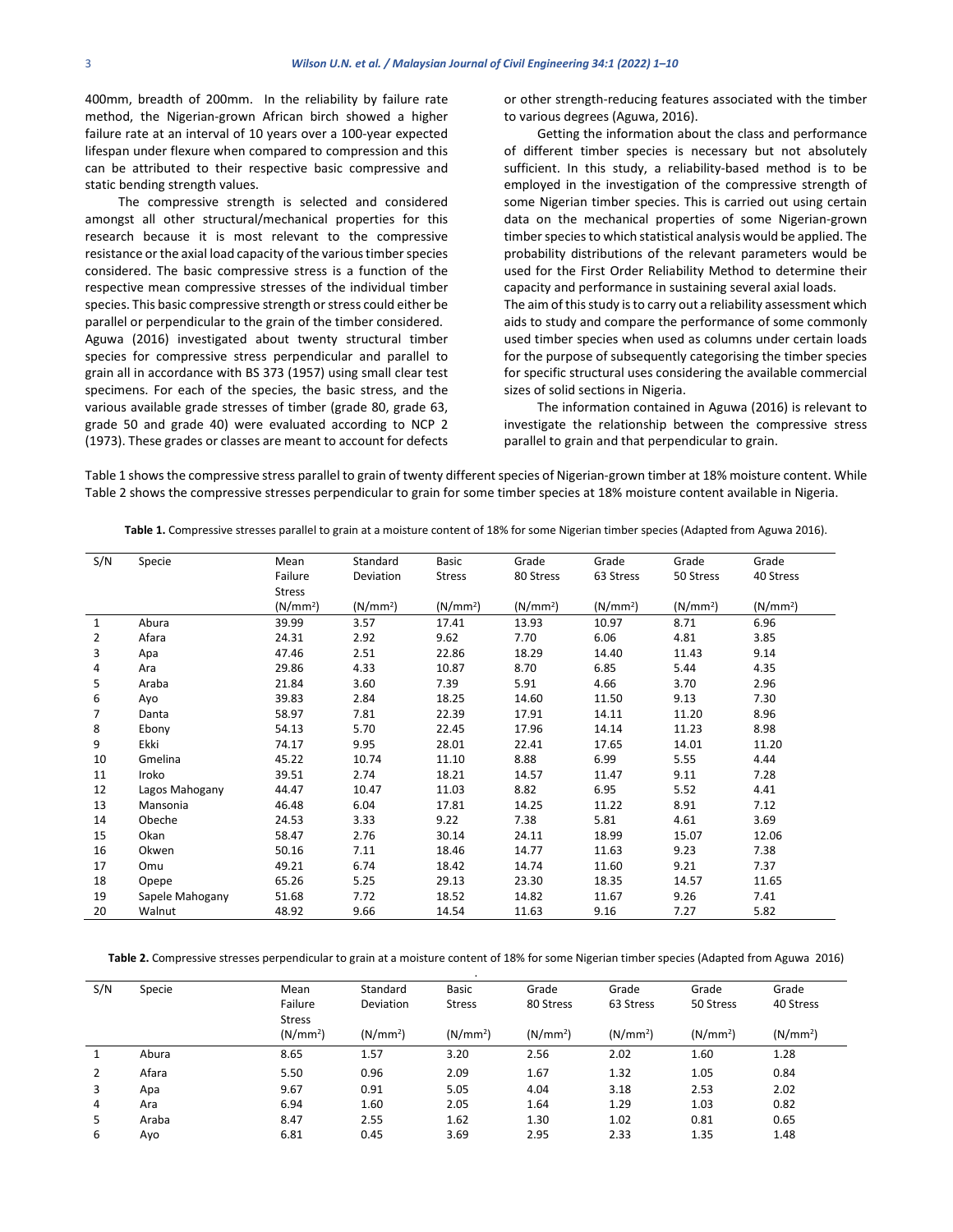400mm, breadth of 200mm. In the reliability by failure rate method, the Nigerian-grown African birch showed a higher failure rate at an interval of 10 years over a 100-year expected lifespan under flexure when compared to compression and this can be attributed to their respective basic compressive and static bending strength values.

The compressive strength is selected and considered amongst all other structural/mechanical properties for this research because it is most relevant to the compressive resistance or the axial load capacity of the various timber species considered. The basic compressive stress is a function of the respective mean compressive stresses of the individual timber species. This basic compressive strength or stress could either be parallel or perpendicular to the grain of the timber considered. Aguwa (2016) investigated about twenty structural timber species for compressive stress perpendicular and parallel to grain all in accordance with BS 373 (1957) using small clear test specimens. For each of the species, the basic stress, and the various available grade stresses of timber (grade 80, grade 63, grade 50 and grade 40) were evaluated according to NCP 2 (1973). These grades or classes are meant to account for defects or other strength-reducing features associated with the timber to various degrees (Aguwa, 2016).

Getting the information about the class and performance of different timber species is necessary but not absolutely sufficient. In this study, a reliability-based method is to be employed in the investigation of the compressive strength of some Nigerian timber species. This is carried out using certain data on the mechanical properties of some Nigerian-grown timber species to which statistical analysis would be applied. The probability distributions of the relevant parameters would be used for the First Order Reliability Method to determine their capacity and performance in sustaining several axial loads. The aim of this study is to carry out a reliability assessment which aids to study and compare the performance of some commonly

used timber species when used as columns under certain loads for the purpose of subsequently categorising the timber species for specific structural uses considering the available commercial sizes of solid sections in Nigeria.

The information contained in Aguwa (2016) is relevant to investigate the relationship between the compressive stress parallel to grain and that perpendicular to grain.

Table 1 shows the compressive stress parallel to grain of twenty different species of Nigerian-grown timber at 18% moisture content. While Table 2 shows the compressive stresses perpendicular to grain for some timber species at 18% moisture content available in Nigeria.

| S/N            | Specie          | Mean                 | Standard             | Basic                | Grade                | Grade                | Grade                | Grade                |
|----------------|-----------------|----------------------|----------------------|----------------------|----------------------|----------------------|----------------------|----------------------|
|                |                 | Failure              | Deviation            | <b>Stress</b>        | 80 Stress            | 63 Stress            | 50 Stress            | 40 Stress            |
|                |                 | <b>Stress</b>        |                      |                      |                      |                      |                      |                      |
|                |                 | (N/mm <sup>2</sup> ) | (N/mm <sup>2</sup> ) | (N/mm <sup>2</sup> ) | (N/mm <sup>2</sup> ) | (N/mm <sup>2</sup> ) | (N/mm <sup>2</sup> ) | (N/mm <sup>2</sup> ) |
| 1              | Abura           | 39.99                | 3.57                 | 17.41                | 13.93                | 10.97                | 8.71                 | 6.96                 |
| $\overline{2}$ | Afara           | 24.31                | 2.92                 | 9.62                 | 7.70                 | 6.06                 | 4.81                 | 3.85                 |
| 3              | Apa             | 47.46                | 2.51                 | 22.86                | 18.29                | 14.40                | 11.43                | 9.14                 |
| 4              | Ara             | 29.86                | 4.33                 | 10.87                | 8.70                 | 6.85                 | 5.44                 | 4.35                 |
| 5              | Araba           | 21.84                | 3.60                 | 7.39                 | 5.91                 | 4.66                 | 3.70                 | 2.96                 |
| 6              | Ayo             | 39.83                | 2.84                 | 18.25                | 14.60                | 11.50                | 9.13                 | 7.30                 |
| $\overline{7}$ | Danta           | 58.97                | 7.81                 | 22.39                | 17.91                | 14.11                | 11.20                | 8.96                 |
| 8              | Ebony           | 54.13                | 5.70                 | 22.45                | 17.96                | 14.14                | 11.23                | 8.98                 |
| 9              | Ekki            | 74.17                | 9.95                 | 28.01                | 22.41                | 17.65                | 14.01                | 11.20                |
| 10             | Gmelina         | 45.22                | 10.74                | 11.10                | 8.88                 | 6.99                 | 5.55                 | 4.44                 |
| 11             | Iroko           | 39.51                | 2.74                 | 18.21                | 14.57                | 11.47                | 9.11                 | 7.28                 |
| 12             | Lagos Mahogany  | 44.47                | 10.47                | 11.03                | 8.82                 | 6.95                 | 5.52                 | 4.41                 |
| 13             | Mansonia        | 46.48                | 6.04                 | 17.81                | 14.25                | 11.22                | 8.91                 | 7.12                 |
| 14             | Obeche          | 24.53                | 3.33                 | 9.22                 | 7.38                 | 5.81                 | 4.61                 | 3.69                 |
| 15             | Okan            | 58.47                | 2.76                 | 30.14                | 24.11                | 18.99                | 15.07                | 12.06                |
| 16             | Okwen           | 50.16                | 7.11                 | 18.46                | 14.77                | 11.63                | 9.23                 | 7.38                 |
| 17             | Omu             | 49.21                | 6.74                 | 18.42                | 14.74                | 11.60                | 9.21                 | 7.37                 |
| 18             | Opepe           | 65.26                | 5.25                 | 29.13                | 23.30                | 18.35                | 14.57                | 11.65                |
| 19             | Sapele Mahogany | 51.68                | 7.72                 | 18.52                | 14.82                | 11.67                | 9.26                 | 7.41                 |
| 20             | Walnut          | 48.92                | 9.66                 | 14.54                | 11.63                | 9.16                 | 7.27                 | 5.82                 |

**Table 1.** Compressive stresses parallel to grain at a moisture content of 18% for some Nigerian timber species (Adapted from Aguwa 2016).

**Table 2.** Compressive stresses perpendicular to grain at a moisture content of 18% for some Nigerian timber species (Adapted from Aguwa 2016)

|     |        |                      |                      | $\cdot$              |                      |                      |                      |                      |
|-----|--------|----------------------|----------------------|----------------------|----------------------|----------------------|----------------------|----------------------|
| S/N | Specie | Mean                 | Standard             | <b>Basic</b>         | Grade                | Grade                | Grade                | Grade                |
|     |        | Failure              | Deviation            | <b>Stress</b>        | 80 Stress            | 63 Stress            | 50 Stress            | 40 Stress            |
|     |        | <b>Stress</b>        |                      |                      |                      |                      |                      |                      |
|     |        | (N/mm <sup>2</sup> ) | (N/mm <sup>2</sup> ) | (N/mm <sup>2</sup> ) | (N/mm <sup>2</sup> ) | (N/mm <sup>2</sup> ) | (N/mm <sup>2</sup> ) | (N/mm <sup>2</sup> ) |
|     | Abura  | 8.65                 | 1.57                 | 3.20                 | 2.56                 | 2.02                 | 1.60                 | 1.28                 |
| 2   | Afara  | 5.50                 | 0.96                 | 2.09                 | 1.67                 | 1.32                 | 1.05                 | 0.84                 |
| 3   | Apa    | 9.67                 | 0.91                 | 5.05                 | 4.04                 | 3.18                 | 2.53                 | 2.02                 |
| 4   | Ara    | 6.94                 | 1.60                 | 2.05                 | 1.64                 | 1.29                 | 1.03                 | 0.82                 |
| 5   | Araba  | 8.47                 | 2.55                 | 1.62                 | 1.30                 | 1.02                 | 0.81                 | 0.65                 |
| 6   | Ayo    | 6.81                 | 0.45                 | 3.69                 | 2.95                 | 2.33                 | 1.35                 | 1.48                 |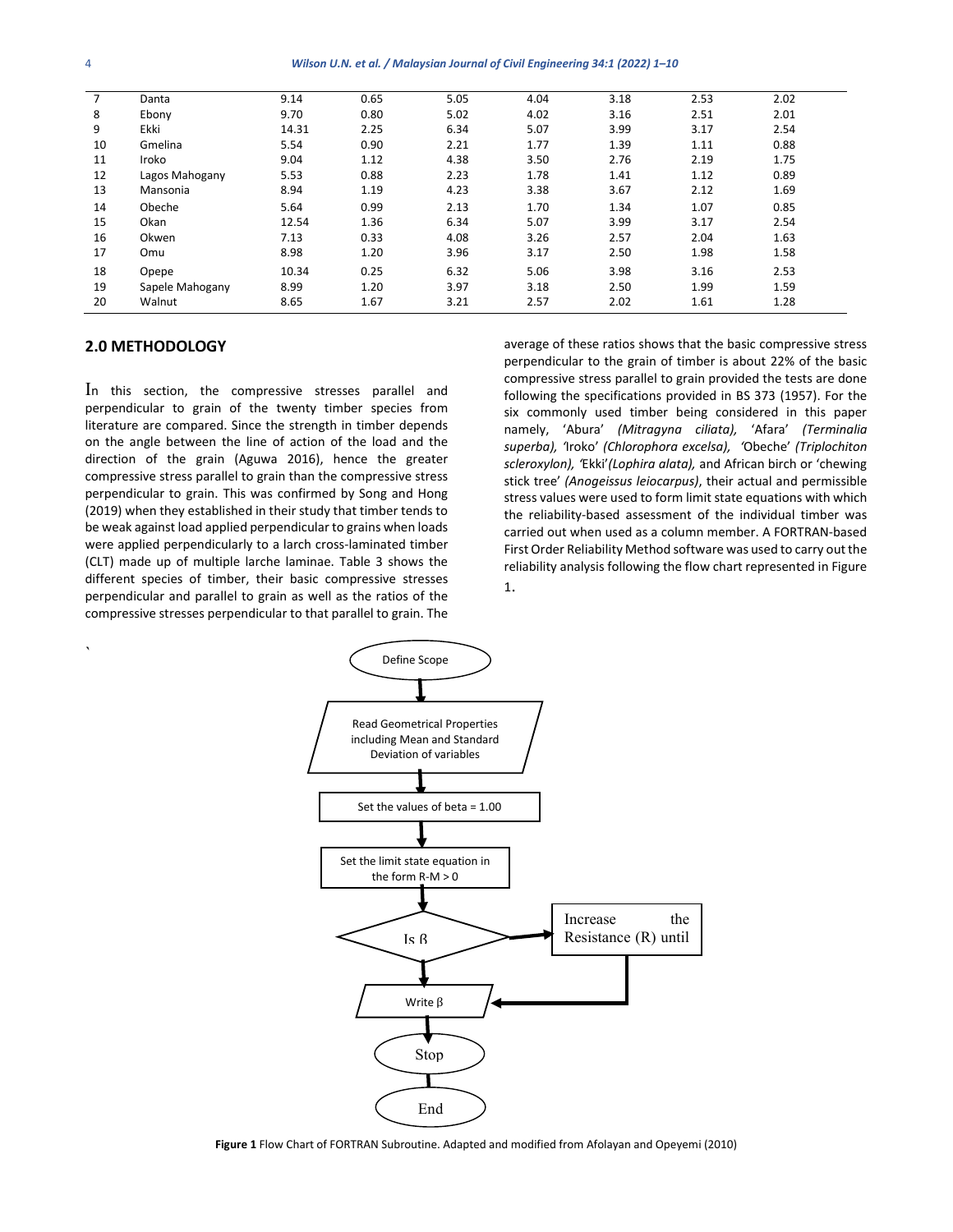| 7  | Danta           | 9.14  | 0.65 | 5.05 | 4.04 | 3.18 | 2.53 | 2.02 |
|----|-----------------|-------|------|------|------|------|------|------|
| 8  | Ebony           | 9.70  | 0.80 | 5.02 | 4.02 | 3.16 | 2.51 | 2.01 |
| 9  | Ekki            | 14.31 | 2.25 | 6.34 | 5.07 | 3.99 | 3.17 | 2.54 |
| 10 | Gmelina         | 5.54  | 0.90 | 2.21 | 1.77 | 1.39 | 1.11 | 0.88 |
| 11 | Iroko           | 9.04  | 1.12 | 4.38 | 3.50 | 2.76 | 2.19 | 1.75 |
| 12 | Lagos Mahogany  | 5.53  | 0.88 | 2.23 | 1.78 | 1.41 | 1.12 | 0.89 |
| 13 | Mansonia        | 8.94  | 1.19 | 4.23 | 3.38 | 3.67 | 2.12 | 1.69 |
| 14 | Obeche          | 5.64  | 0.99 | 2.13 | 1.70 | 1.34 | 1.07 | 0.85 |
| 15 | Okan            | 12.54 | 1.36 | 6.34 | 5.07 | 3.99 | 3.17 | 2.54 |
| 16 | Okwen           | 7.13  | 0.33 | 4.08 | 3.26 | 2.57 | 2.04 | 1.63 |
| 17 | Omu             | 8.98  | 1.20 | 3.96 | 3.17 | 2.50 | 1.98 | 1.58 |
| 18 | Opepe           | 10.34 | 0.25 | 6.32 | 5.06 | 3.98 | 3.16 | 2.53 |
| 19 | Sapele Mahogany | 8.99  | 1.20 | 3.97 | 3.18 | 2.50 | 1.99 | 1.59 |
| 20 | Walnut          | 8.65  | 1.67 | 3.21 | 2.57 | 2.02 | 1.61 | 1.28 |

#### **2.0 METHODOLOGY**

In this section, the compressive stresses parallel and perpendicular to grain of the twenty timber species from literature are compared. Since the strength in timber depends on the angle between the line of action of the load and the direction of the grain (Aguwa 2016), hence the greater compressive stress parallel to grain than the compressive stress perpendicular to grain. This was confirmed by Song and Hong (2019) when they established in their study that timber tends to be weak against load applied perpendicular to grains when loads were applied perpendicularly to a larch cross-laminated timber (CLT) made up of multiple larche laminae. Table 3 shows the different species of timber, their basic compressive stresses perpendicular and parallel to grain as well as the ratios of the compressive stresses perpendicular to that parallel to grain. The

average of these ratios shows that the basic compressive stress perpendicular to the grain of timber is about 22% of the basic compressive stress parallel to grain provided the tests are done following the specifications provided in BS 373 (1957). For the six commonly used timber being considered in this paper namely, 'Abura' *(Mitragyna ciliata),* 'Afara' *(Terminalia superba), '*Iroko' *(Chlorophora excelsa), '*Obeche' *(Triplochiton scleroxylon), '*Ekki'*(Lophira alata),* and African birch or 'chewing stick tree' *(Anogeissus leiocarpus)*, their actual and permissible stress values were used to form limit state equations with which the reliability-based assessment of the individual timber was carried out when used as a column member. A FORTRAN-based First Order Reliability Method software was used to carry out the reliability analysis following the flow chart represented in Figure 1.



**Figure 1** Flow Chart of FORTRAN Subroutine. Adapted and modified from Afolayan and Opeyemi (2010)

`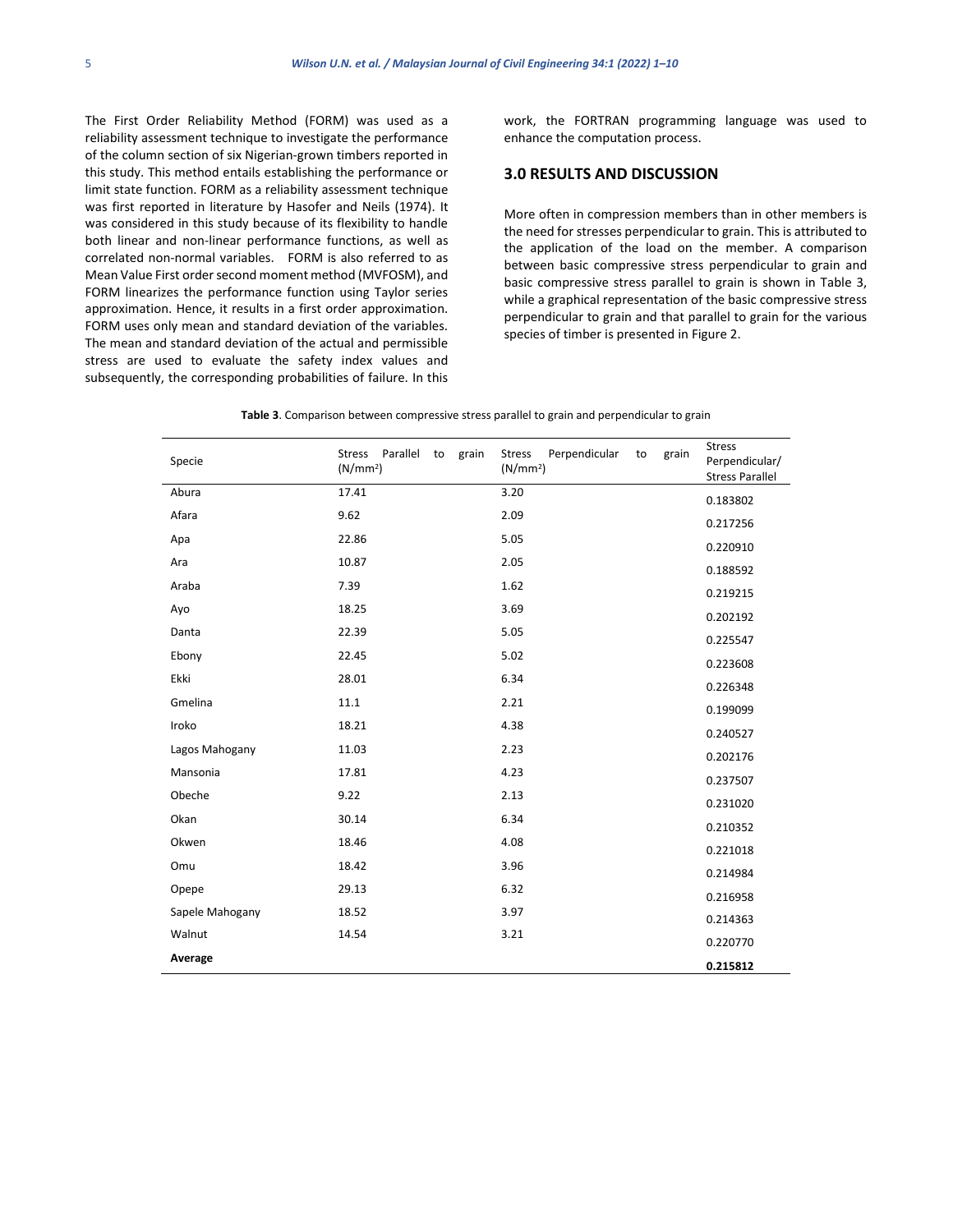The First Order Reliability Method (FORM) was used as a reliability assessment technique to investigate the performance of the column section of six Nigerian-grown timbers reported in this study. This method entails establishing the performance or limit state function. FORM as a reliability assessment technique was first reported in literature by Hasofer and Neils (1974). It was considered in this study because of its flexibility to handle both linear and non-linear performance functions, as well as correlated non-normal variables. FORM is also referred to as Mean Value First order second moment method (MVFOSM), and FORM linearizes the performance function using Taylor series approximation. Hence, it results in a first order approximation. FORM uses only mean and standard deviation of the variables. The mean and standard deviation of the actual and permissible stress are used to evaluate the safety index values and subsequently, the corresponding probabilities of failure. In this work, the FORTRAN programming language was used to enhance the computation process.

#### **3.0 RESULTS AND DISCUSSION**

More often in compression members than in other members is the need for stresses perpendicular to grain. This is attributed to the application of the load on the member. A comparison between basic compressive stress perpendicular to grain and basic compressive stress parallel to grain is shown in Table 3, while a graphical representation of the basic compressive stress perpendicular to grain and that parallel to grain for the various species of timber is presented in Figure 2.

| Specie          | Parallel<br><b>Stress</b><br>to<br>grain<br>(N/mm <sup>2</sup> ) | Perpendicular<br><b>Stress</b><br>to<br>grain<br>(N/mm <sup>2</sup> ) | <b>Stress</b><br>Perpendicular/<br><b>Stress Parallel</b> |
|-----------------|------------------------------------------------------------------|-----------------------------------------------------------------------|-----------------------------------------------------------|
| Abura           | 17.41                                                            | 3.20                                                                  | 0.183802                                                  |
| Afara           | 9.62                                                             | 2.09                                                                  | 0.217256                                                  |
| Apa             | 22.86                                                            | 5.05                                                                  | 0.220910                                                  |
| Ara             | 10.87                                                            | 2.05                                                                  | 0.188592                                                  |
| Araba           | 7.39                                                             | 1.62                                                                  | 0.219215                                                  |
| Ayo             | 18.25                                                            | 3.69                                                                  | 0.202192                                                  |
| Danta           | 22.39                                                            | 5.05                                                                  | 0.225547                                                  |
| Ebony           | 22.45                                                            | 5.02                                                                  | 0.223608                                                  |
| Ekki            | 28.01                                                            | 6.34                                                                  | 0.226348                                                  |
| Gmelina         | 11.1                                                             | 2.21                                                                  | 0.199099                                                  |
| Iroko           | 18.21                                                            | 4.38                                                                  | 0.240527                                                  |
| Lagos Mahogany  | 11.03                                                            | 2.23                                                                  | 0.202176                                                  |
| Mansonia        | 17.81                                                            | 4.23                                                                  | 0.237507                                                  |
| Obeche          | 9.22                                                             | 2.13                                                                  | 0.231020                                                  |
| Okan            | 30.14                                                            | 6.34                                                                  | 0.210352                                                  |
| Okwen           | 18.46                                                            | 4.08                                                                  | 0.221018                                                  |
| Omu             | 18.42                                                            | 3.96                                                                  | 0.214984                                                  |
| Opepe           | 29.13                                                            | 6.32                                                                  | 0.216958                                                  |
| Sapele Mahogany | 18.52                                                            | 3.97                                                                  | 0.214363                                                  |
| Walnut          | 14.54                                                            | 3.21                                                                  | 0.220770                                                  |
| Average         |                                                                  |                                                                       | 0.215812                                                  |

**Table 3**. Comparison between compressive stress parallel to grain and perpendicular to grain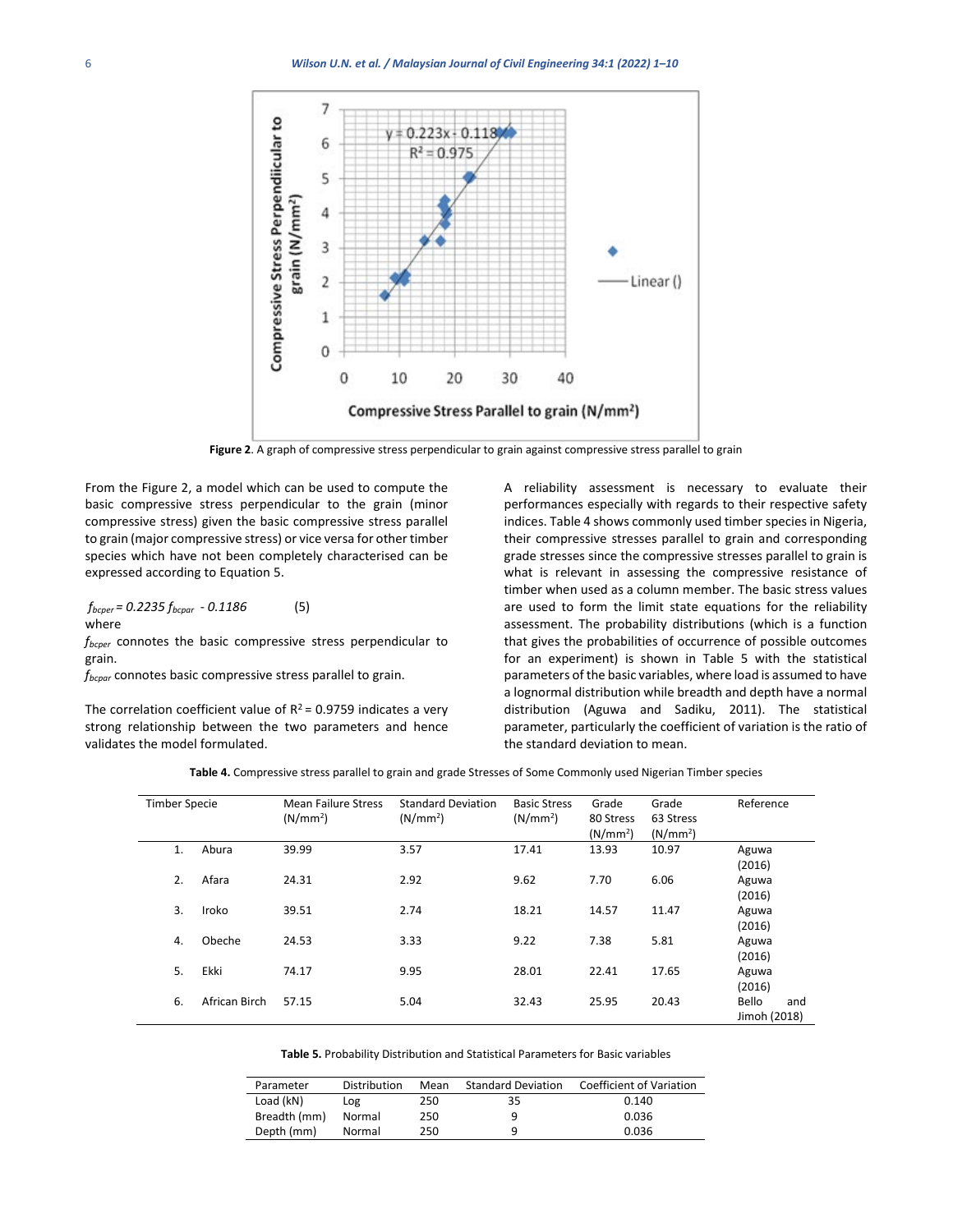

**Figure 2**. A graph of compressive stress perpendicular to grain against compressive stress parallel to grain

From the Figure 2, a model which can be used to compute the basic compressive stress perpendicular to the grain (minor compressive stress) given the basic compressive stress parallel to grain (major compressive stress) or vice versa for other timber species which have not been completely characterised can be expressed according to Equation 5.

$$
f_{bcper} = 0.2235 f_{bcpar} - 0.1186
$$
 (5)  
where

*fbcper* connotes the basic compressive stress perpendicular to grain.

*fbcpar* connotes basic compressive stress parallel to grain.

The correlation coefficient value of  $R^2$  = 0.9759 indicates a very strong relationship between the two parameters and hence validates the model formulated.

A reliability assessment is necessary to evaluate their performances especially with regards to their respective safety indices. Table 4 shows commonly used timber species in Nigeria, their compressive stresses parallel to grain and corresponding grade stresses since the compressive stresses parallel to grain is what is relevant in assessing the compressive resistance of timber when used as a column member. The basic stress values are used to form the limit state equations for the reliability assessment. The probability distributions (which is a function that gives the probabilities of occurrence of possible outcomes for an experiment) is shown in Table 5 with the statistical parameters of the basic variables, where load is assumed to have a lognormal distribution while breadth and depth have a normal distribution (Aguwa and Sadiku, 2011). The statistical parameter, particularly the coefficient of variation is the ratio of the standard deviation to mean.

**Table 4.** Compressive stress parallel to grain and grade Stresses of Some Commonly used Nigerian Timber species

| <b>Timber Specie</b> |               | <b>Mean Failure Stress</b><br>(N/mm <sup>2</sup> ) | <b>Standard Deviation</b><br>(N/mm <sup>2</sup> ) | <b>Basic Stress</b><br>(N/mm <sup>2</sup> ) | Grade<br>80 Stress<br>(N/mm <sup>2</sup> ) | Grade<br>63 Stress<br>(N/mm <sup>2</sup> ) | Reference                    |
|----------------------|---------------|----------------------------------------------------|---------------------------------------------------|---------------------------------------------|--------------------------------------------|--------------------------------------------|------------------------------|
| 1.                   | Abura         | 39.99                                              | 3.57                                              | 17.41                                       | 13.93                                      | 10.97                                      | Aguwa<br>(2016)              |
| 2.                   | Afara         | 24.31                                              | 2.92                                              | 9.62                                        | 7.70                                       | 6.06                                       | Aguwa<br>(2016)              |
| 3.                   | Iroko         | 39.51                                              | 2.74                                              | 18.21                                       | 14.57                                      | 11.47                                      | Aguwa<br>(2016)              |
| 4.                   | Obeche        | 24.53                                              | 3.33                                              | 9.22                                        | 7.38                                       | 5.81                                       | Aguwa<br>(2016)              |
| 5.                   | Ekki          | 74.17                                              | 9.95                                              | 28.01                                       | 22.41                                      | 17.65                                      | Aguwa<br>(2016)              |
| 6.                   | African Birch | 57.15                                              | 5.04                                              | 32.43                                       | 25.95                                      | 20.43                                      | Bello<br>and<br>Jimoh (2018) |

| Parameter    | Distribution | Mean | <b>Standard Deviation</b> | <b>Coefficient of Variation</b> |
|--------------|--------------|------|---------------------------|---------------------------------|
| Load (kN)    | Log          | 250  | 35                        | 0.140                           |
| Breadth (mm) | Normal       | 250  | q                         | 0.036                           |
| Depth (mm)   | Normal       | 250  | q                         | 0.036                           |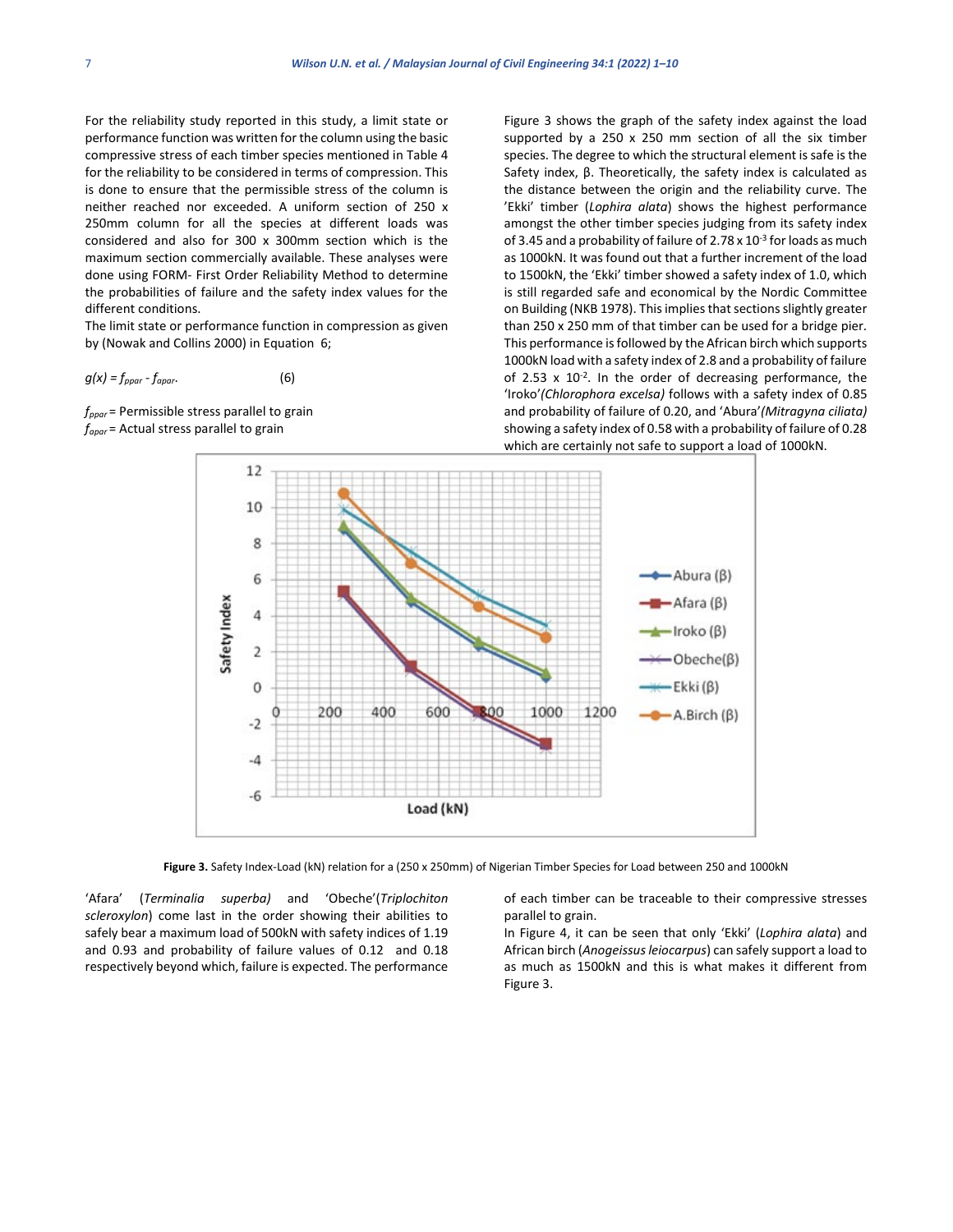For the reliability study reported in this study, a limit state or performance function was written for the column using the basic compressive stress of each timber species mentioned in Table 4 for the reliability to be considered in terms of compression. This is done to ensure that the permissible stress of the column is neither reached nor exceeded. A uniform section of 250 x 250mm column for all the species at different loads was considered and also for 300 x 300mm section which is the maximum section commercially available. These analyses were done using FORM- First Order Reliability Method to determine the probabilities of failure and the safety index values for the different conditions.

The limit state or performance function in compression as given by (Nowak and Collins 2000) in Equation 6;

$$
g(x) = f_{ppar} - f_{apar}.
$$
 (6)

*fppar* = Permissible stress parallel to grain *fapar* = Actual stress parallel to grain

Figure 3 shows the graph of the safety index against the load supported by a 250 x 250 mm section of all the six timber species. The degree to which the structural element is safe is the Safety index, β. Theoretically, the safety index is calculated as the distance between the origin and the reliability curve. The 'Ekki' timber (*Lophira alata*) shows the highest performance amongst the other timber species judging from its safety index of 3.45 and a probability of failure of 2.78 x 10<sup>-3</sup> for loads as much as 1000kN. It was found out that a further increment of the load to 1500kN, the 'Ekki' timber showed a safety index of 1.0, which is still regarded safe and economical by the Nordic Committee on Building (NKB 1978). This implies that sections slightly greater than 250 x 250 mm of that timber can be used for a bridge pier. This performance is followed by the African birch which supports 1000kN load with a safety index of 2.8 and a probability of failure of 2.53  $\times$  10<sup>-2</sup>. In the order of decreasing performance, the 'Iroko'*(Chlorophora excelsa)* follows with a safety index of 0.85 and probability of failure of 0.20, and 'Abura'*(Mitragyna ciliata)* showing a safety index of 0.58 with a probability of failure of 0.28 which are certainly not safe to support a load of 1000kN.



**Figure 3.** Safety Index-Load (kN) relation for a (250 x 250mm) of Nigerian Timber Species for Load between 250 and 1000kN

'Afara' (*Terminalia superba)* and 'Obeche'(*Triplochiton scleroxylon*) come last in the order showing their abilities to safely bear a maximum load of 500kN with safety indices of 1.19 and 0.93 and probability of failure values of 0.12 and 0.18 respectively beyond which, failure is expected. The performance of each timber can be traceable to their compressive stresses parallel to grain.

In Figure 4, it can be seen that only 'Ekki' (*Lophira alata*) and African birch (*Anogeissus leiocarpus*) can safely support a load to as much as 1500kN and this is what makes it different from Figure 3.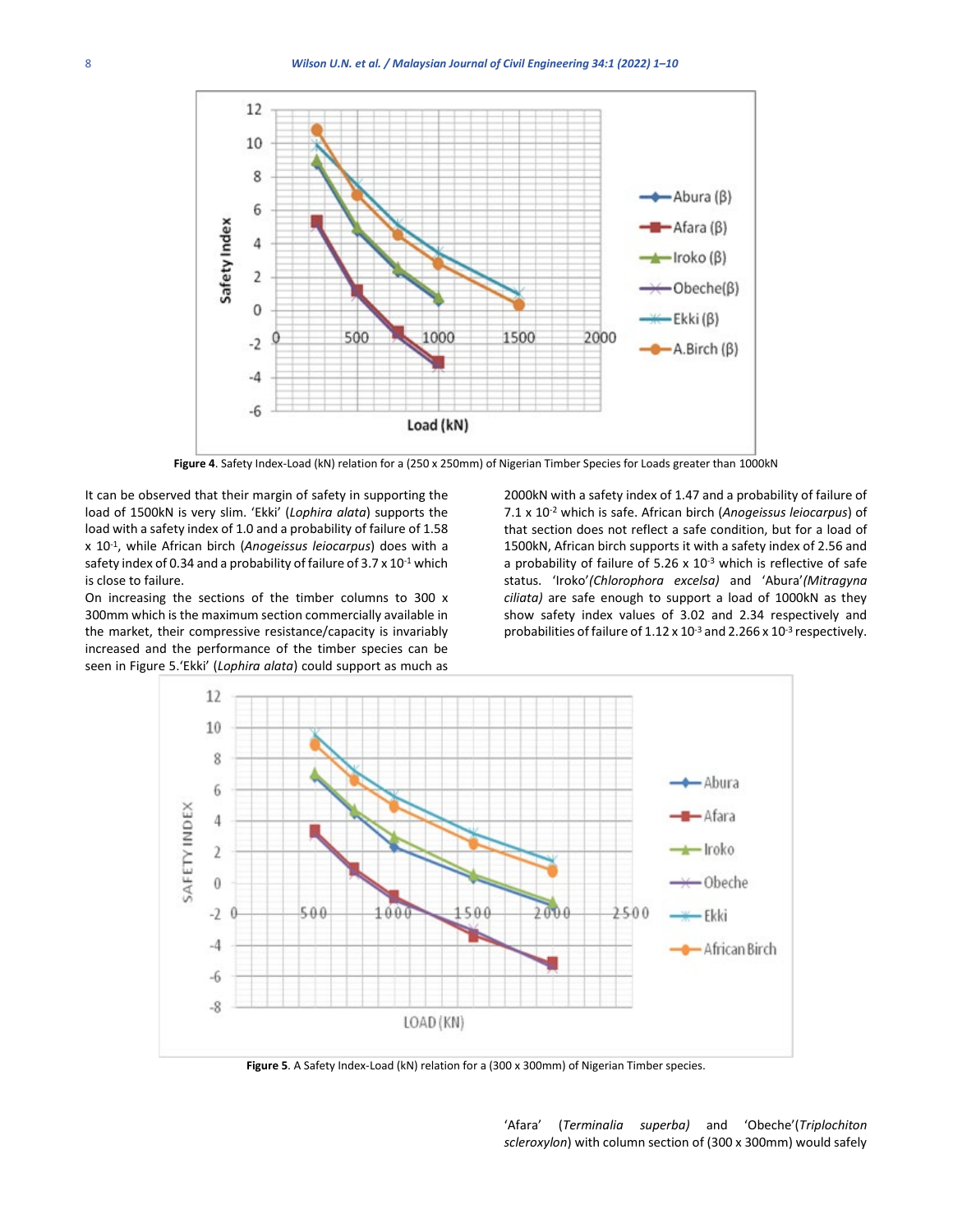

**Figure 4**. Safety Index-Load (kN) relation for a (250 x 250mm) of Nigerian Timber Species for Loads greater than 1000kN

It can be observed that their margin of safety in supporting the load of 1500kN is very slim. 'Ekki' (*Lophira alata*) supports the load with a safety index of 1.0 and a probability of failure of 1.58 x 10-1, while African birch (*Anogeissus leiocarpus*) does with a safety index of 0.34 and a probability of failure of  $3.7 \times 10^{-1}$  which is close to failure.

On increasing the sections of the timber columns to 300 x 300mm which is the maximum section commercially available in the market, their compressive resistance/capacity is invariably increased and the performance of the timber species can be seen in Figure 5.'Ekki' (*Lophira alata*) could support as much as

2000kN with a safety index of 1.47 and a probability of failure of 7.1 x 10-2 which is safe. African birch (*Anogeissus leiocarpus*) of that section does not reflect a safe condition, but for a load of 1500kN, African birch supports it with a safety index of 2.56 and a probability of failure of 5.26  $\times$  10<sup>-3</sup> which is reflective of safe status. 'Iroko'*(Chlorophora excelsa)* and 'Abura'*(Mitragyna ciliata)* are safe enough to support a load of 1000kN as they show safety index values of 3.02 and 2.34 respectively and probabilities of failure of  $1.12 \times 10^{-3}$  and  $2.266 \times 10^{-3}$  respectively.



**Figure 5**. A Safety Index-Load (kN) relation for a (300 x 300mm) of Nigerian Timber species.

'Afara' (*Terminalia superba)* and 'Obeche'(*Triplochiton scleroxylon*) with column section of (300 x 300mm) would safely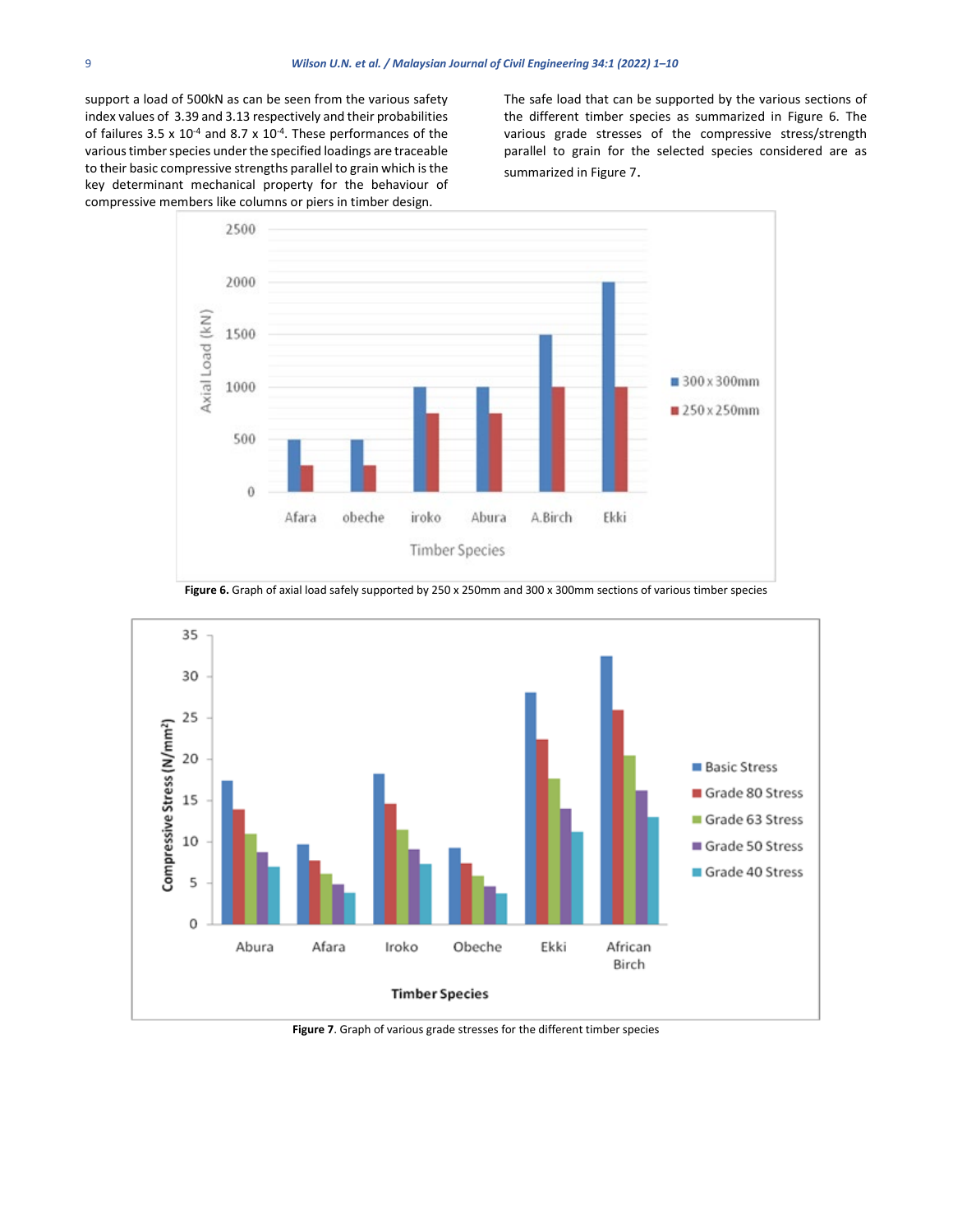support a load of 500kN as can be seen from the various safety index values of 3.39 and 3.13 respectively and their probabilities of failures 3.5 x  $10^{-4}$  and 8.7 x  $10^{-4}$ . These performances of the various timber species under the specified loadings are traceable to their basic compressive strengths parallel to grain which is the key determinant mechanical property for the behaviour of compressive members like columns or piers in timber design.

The safe load that can be supported by the various sections of the different timber species as summarized in Figure 6. The various grade stresses of the compressive stress/strength parallel to grain for the selected species considered are as summarized in Figure 7.



**Figure 6.** Graph of axial load safely supported by 250 x 250mm and 300 x 300mm sections of various timber species



**Figure 7**. Graph of various grade stresses for the different timber species